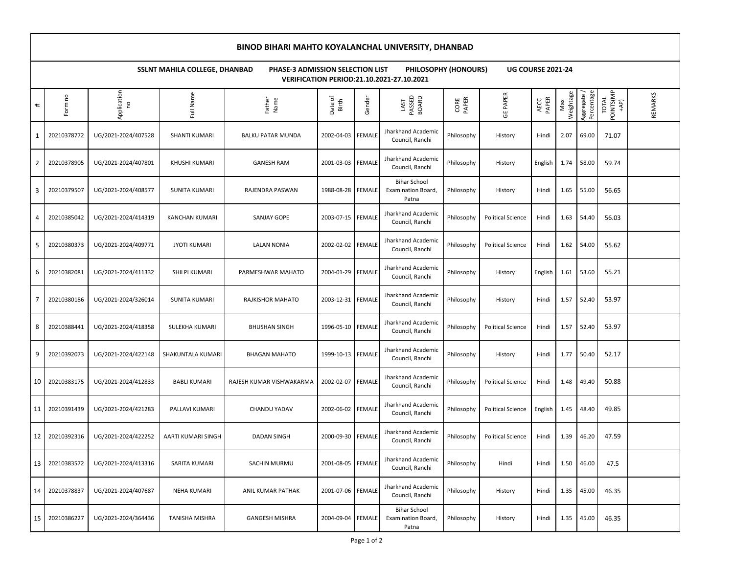## **BINOD BIHARI MAHTO KOYALANCHAL UNIVERSITY, DHANBAD**

**SSLNT MAHILA COLLEGE, DHANBAD PHASE-3 ADMISSION SELECTION LIST PHILOSOPHY (HONOURS) UG COURSE 2021-24 VERIFICATION PERIOD:21.10.2021-27.10.2021**

| $\textcolor{red}{\#}$ | Form no     | Application<br>°    | Full Name             | Father<br>Name           | Date of<br>Birth  | Gender        | PASSED<br>BOARD<br>LAST                            | CORE<br>PAPER | PAPER<br>უ<br>მ          | PAPER<br>AECC | Weightage<br>Max | Aggregate /<br>Percentage | POINTS(MP<br>+AP)<br><b>TOTAL</b> | REMARKS |
|-----------------------|-------------|---------------------|-----------------------|--------------------------|-------------------|---------------|----------------------------------------------------|---------------|--------------------------|---------------|------------------|---------------------------|-----------------------------------|---------|
| 1                     | 20210378772 | UG/2021-2024/407528 | SHANTI KUMARI         | <b>BALKU PATAR MUNDA</b> | 2002-04-03        | <b>FEMALE</b> | Jharkhand Academic<br>Council, Ranchi              | Philosophy    | History                  | Hindi         | 2.07             | 69.00                     | 71.07                             |         |
| 2                     | 20210378905 | UG/2021-2024/407801 | KHUSHI KUMARI         | <b>GANESH RAM</b>        | 2001-03-03 FEMALE |               | Jharkhand Academic<br>Council, Ranchi              | Philosophy    | History                  | English       | 1.74             | 58.00                     | 59.74                             |         |
| 3                     | 20210379507 | UG/2021-2024/408577 | SUNITA KUMARI         | RAJENDRA PASWAN          | 1988-08-28        | <b>FEMALE</b> | <b>Bihar School</b><br>Examination Board,<br>Patna | Philosophy    | History                  | Hindi         | 1.65             | 55.00                     | 56.65                             |         |
| 4                     | 20210385042 | UG/2021-2024/414319 | <b>KANCHAN KUMARI</b> | SANJAY GOPE              | 2003-07-15 FEMALE |               | Jharkhand Academic<br>Council, Ranchi              | Philosophy    | <b>Political Science</b> | Hindi         | 1.63             | 54.40                     | 56.03                             |         |
| 5                     | 20210380373 | UG/2021-2024/409771 | <b>JYOTI KUMARI</b>   | <b>LALAN NONIA</b>       | 2002-02-02        | <b>FEMALE</b> | Jharkhand Academic<br>Council, Ranchi              | Philosophy    | <b>Political Science</b> | Hindi         | 1.62             | 54.00                     | 55.62                             |         |
| 6                     | 20210382081 | UG/2021-2024/411332 | SHILPI KUMARI         | PARMESHWAR MAHATO        | 2004-01-29 FEMALE |               | Jharkhand Academic<br>Council, Ranchi              | Philosophy    | History                  | English       | 1.61             | 53.60                     | 55.21                             |         |
| $\overline{7}$        | 20210380186 | UG/2021-2024/326014 | SUNITA KUMARI         | RAJKISHOR MAHATO         | 2003-12-31 FEMALE |               | Jharkhand Academic<br>Council, Ranchi              | Philosophy    | History                  | Hindi         | 1.57             | 52.40                     | 53.97                             |         |
| 8                     | 20210388441 | UG/2021-2024/418358 | SULEKHA KUMARI        | <b>BHUSHAN SINGH</b>     | 1996-05-10 FEMALE |               | Jharkhand Academic<br>Council, Ranchi              | Philosophy    | <b>Political Science</b> | Hindi         | 1.57             | 52.40                     | 53.97                             |         |
| 9                     | 20210392073 | UG/2021-2024/422148 | SHAKUNTALA KUMARI     | <b>BHAGAN MAHATO</b>     | 1999-10-13 FEMALE |               | Jharkhand Academic<br>Council, Ranchi              | Philosophy    | History                  | Hindi         | 1.77             | 50.40                     | 52.17                             |         |
| 10                    | 20210383175 | UG/2021-2024/412833 | <b>BABLI KUMARI</b>   | RAJESH KUMAR VISHWAKARMA | 2002-02-07        | <b>FEMALE</b> | Jharkhand Academic<br>Council, Ranchi              | Philosophy    | <b>Political Science</b> | Hindi         | 1.48             | 49.40                     | 50.88                             |         |
| 11                    | 20210391439 | UG/2021-2024/421283 | PALLAVI KUMARI        | CHANDU YADAV             | 2002-06-02 FEMALE |               | Jharkhand Academic<br>Council, Ranchi              | Philosophy    | <b>Political Science</b> | English       | 1.45             | 48.40                     | 49.85                             |         |
| 12 <sub>1</sub>       | 20210392316 | UG/2021-2024/422252 | AARTI KUMARI SINGH    | <b>DADAN SINGH</b>       | 2000-09-30 FEMALE |               | Jharkhand Academic<br>Council, Ranchi              | Philosophy    | <b>Political Science</b> | Hindi         | 1.39             | 46.20                     | 47.59                             |         |
| 13                    | 20210383572 | UG/2021-2024/413316 | SARITA KUMARI         | <b>SACHIN MURMU</b>      | 2001-08-05 FEMALE |               | Jharkhand Academic<br>Council, Ranchi              | Philosophy    | Hindi                    | Hindi         | 1.50             | 46.00                     | 47.5                              |         |
| 14                    | 20210378837 | UG/2021-2024/407687 | <b>NEHA KUMARI</b>    | ANIL KUMAR PATHAK        | 2001-07-06 FEMALE |               | Jharkhand Academic<br>Council, Ranchi              | Philosophy    | History                  | Hindi         | 1.35             | 45.00                     | 46.35                             |         |
| 15                    | 20210386227 | UG/2021-2024/364436 | <b>TANISHA MISHRA</b> | <b>GANGESH MISHRA</b>    | 2004-09-04 FEMALE |               | <b>Bihar School</b><br>Examination Board,<br>Patna | Philosophy    | History                  | Hindi         | 1.35             | 45.00                     | 46.35                             |         |